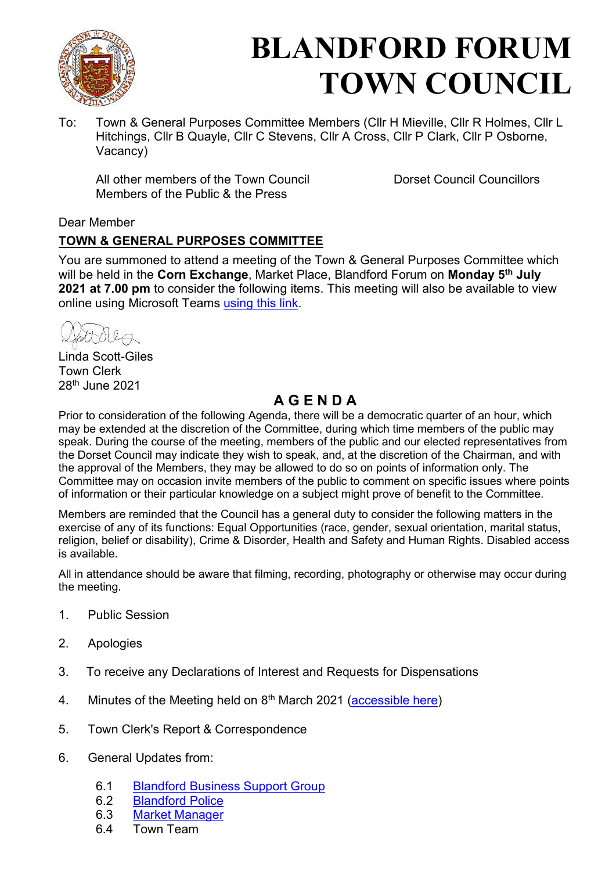

# BLANDFORD FORUM TOWN COUNCIL

To: Town & General Purposes Committee Members (Cllr H Mieville, Cllr R Holmes, Cllr L Hitchings, Cllr B Quayle, Cllr C Stevens, Cllr A Cross, Cllr P Clark, Cllr P Osborne, Vacancy)

All other members of the Town Council Dorset Council Councillors Members of the Public & the Press

# Dear Member

# TOWN & GENERAL PURPOSES COMMITTEE

You are summoned to attend a meeting of the Town & General Purposes Committee which will be held in the Corn Exchange, Market Place, Blandford Forum on Monday 5<sup>th</sup> July 2021 at 7.00 pm to consider the following items. This meeting will also be available to view online using Microsoft Teams using this link.

ettella

Linda Scott-Giles Town Clerk 28th June 2021

# A G E N D A

Prior to consideration of the following Agenda, there will be a democratic quarter of an hour, which may be extended at the discretion of the Committee, during which time members of the public may speak. During the course of the meeting, members of the public and our elected representatives from the Dorset Council may indicate they wish to speak, and, at the discretion of the Chairman, and with the approval of the Members, they may be allowed to do so on points of information only. The Committee may on occasion invite members of the public to comment on specific issues where points of information or their particular knowledge on a subject might prove of benefit to the Committee.

Members are reminded that the Council has a general duty to consider the following matters in the exercise of any of its functions: Equal Opportunities (race, gender, sexual orientation, marital status, religion, belief or disability), Crime & Disorder, Health and Safety and Human Rights. Disabled access is available.

All in attendance should be aware that filming, recording, photography or otherwise may occur during the meeting.

- 1. Public Session
- 2. Apologies
- 3. To receive any Declarations of Interest and Requests for Dispensations
- 4. Minutes of the Meeting held on  $8<sup>th</sup>$  March 2021 (accessible here)
- 5. Town Clerk's Report & Correspondence
- 6. General Updates from:
	- 6.1 Blandford Business Support Group<br>6.2 Blandford Police
	- **Blandford Police**
	- 6.3 Market Manager
	- 6.4 Town Team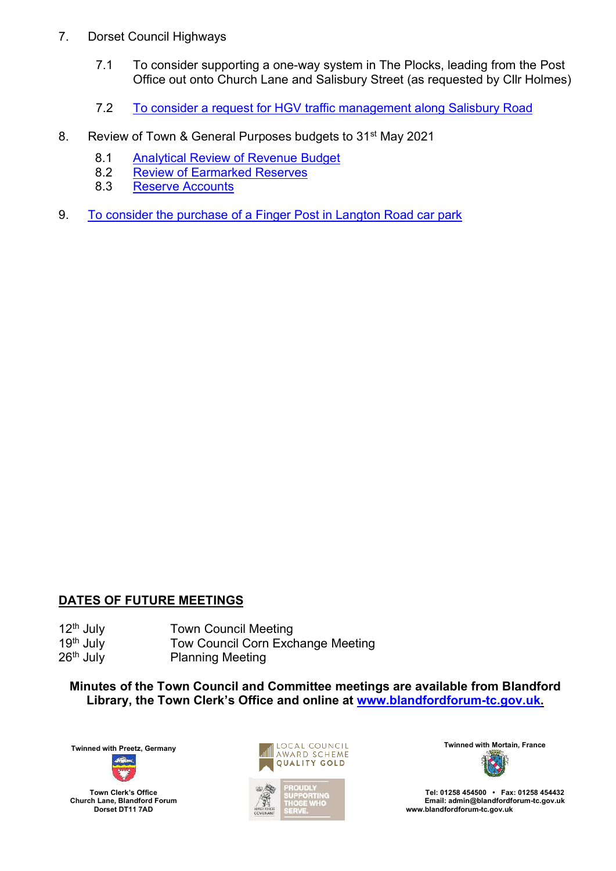- 7. Dorset Council Highways
	- 7.1 To consider supporting a one-way system in The Plocks, leading from the Post Office out onto Church Lane and Salisbury Street (as requested by Cllr Holmes)
	- 7.2 To consider a request for HGV traffic management along Salisbury Road
- 8. Review of Town & General Purposes budgets to 31<sup>st</sup> May 2021
	- 8.1 Analytical Review of Revenue Budget
	- 8.2 Review of Earmarked Reserves
	- 8.3 Reserve Accounts
- 9. To consider the purchase of a Finger Post in Langton Road car park

## DATES OF FUTURE MEETINGS

12<sup>th</sup> July **Town Council Meeting**<br>19<sup>th</sup> July **Tow Council Corn Excl** Tow Council Corn Exchange Meeting 26<sup>th</sup> July Planning Meeting

Minutes of the Town Council and Committee meetings are available from Blandford Library, the Town Clerk's Office and online at www.blandfordforum-tc.gov.uk.

Town Clerk's Office Church Lane, Blandford Forum Dorset DT11 7AD



Tel: 01258 454500 • Fax: 01258 454432 Email: admin@blandfordforum-tc.gov.uk www.blandfordforum-tc.gov.uk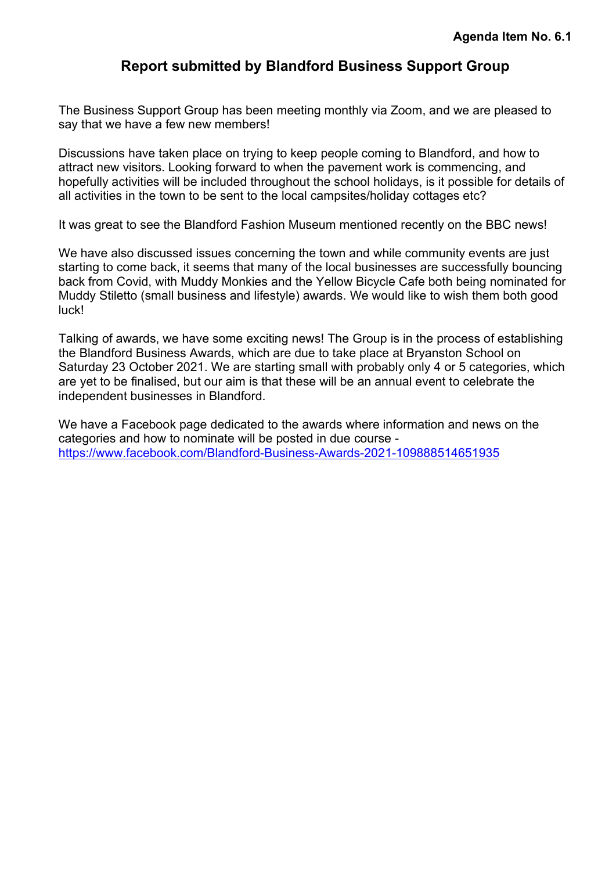# Report submitted by Blandford Business Support Group

The Business Support Group has been meeting monthly via Zoom, and we are pleased to say that we have a few new members!

Discussions have taken place on trying to keep people coming to Blandford, and how to attract new visitors. Looking forward to when the pavement work is commencing, and hopefully activities will be included throughout the school holidays, is it possible for details of all activities in the town to be sent to the local campsites/holiday cottages etc?

It was great to see the Blandford Fashion Museum mentioned recently on the BBC news!

We have also discussed issues concerning the town and while community events are just starting to come back, it seems that many of the local businesses are successfully bouncing back from Covid, with Muddy Monkies and the Yellow Bicycle Cafe both being nominated for Muddy Stiletto (small business and lifestyle) awards. We would like to wish them both good luck!

Talking of awards, we have some exciting news! The Group is in the process of establishing the Blandford Business Awards, which are due to take place at Bryanston School on Saturday 23 October 2021. We are starting small with probably only 4 or 5 categories, which are yet to be finalised, but our aim is that these will be an annual event to celebrate the independent businesses in Blandford.

We have a Facebook page dedicated to the awards where information and news on the categories and how to nominate will be posted in due course https://www.facebook.com/Blandford-Business-Awards-2021-109888514651935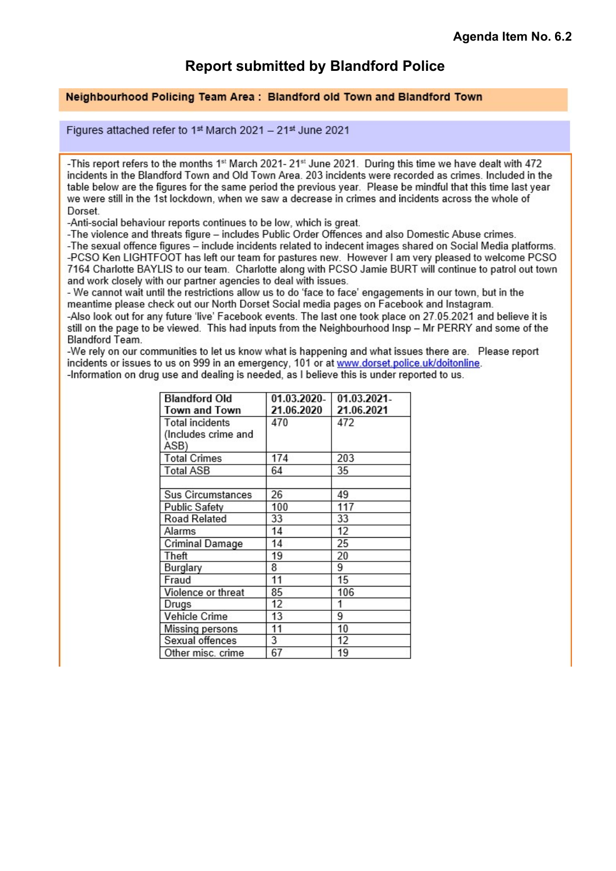# Report submitted by Blandford Police

#### Neighbourhood Policing Team Area: Blandford old Town and Blandford Town

Figures attached refer to 1st March 2021 - 21st June 2021

-This report refers to the months 1st March 2021-21st June 2021. During this time we have dealt with 472 incidents in the Blandford Town and Old Town Area. 203 incidents were recorded as crimes. Included in the table below are the figures for the same period the previous year. Please be mindful that this time last year we were still in the 1st lockdown, when we saw a decrease in crimes and incidents across the whole of Dorset.

-Anti-social behaviour reports continues to be low, which is great.

-The violence and threats figure - includes Public Order Offences and also Domestic Abuse crimes.

-The sexual offence figures - include incidents related to indecent images shared on Social Media platforms. -PCSO Ken LIGHTFOOT has left our team for pastures new. However I am very pleased to welcome PCSO 7164 Charlotte BAYLIS to our team. Charlotte along with PCSO Jamie BURT will continue to patrol out town and work closely with our partner agencies to deal with issues.

- We cannot wait until the restrictions allow us to do 'face to face' engagements in our town, but in the meantime please check out our North Dorset Social media pages on Facebook and Instagram.

-Also look out for any future 'live' Facebook events. The last one took place on 27.05.2021 and believe it is still on the page to be viewed. This had inputs from the Neighbourhood Insp - Mr PERRY and some of the **Blandford Team.** 

-We rely on our communities to let us know what is happening and what issues there are. Please report incidents or issues to us on 999 in an emergency, 101 or at www.dorset.police.uk/doitonline. -Information on drug use and dealing is needed, as I believe this is under reported to us.

| <b>Blandford Old</b>   | 01.03.2020- | 01.03.2021- |
|------------------------|-------------|-------------|
| Town and Town          | 21.06.2020  | 21.06.2021  |
| <b>Total incidents</b> | 470         | 472         |
| (Includes crime and    |             |             |
| ASB)                   |             |             |
| <b>Total Crimes</b>    | 174         | 203         |
| <b>Total ASB</b>       | 64          | 35          |
|                        |             |             |
| Sus Circumstances      | 26          | 49          |
| <b>Public Safety</b>   | 100         | 117         |
| Road Related           | 33          | 33          |
| Alarms                 | 14          | 12          |
| Criminal Damage        | 14          | 25          |
| Theft                  | 19          | 20          |
| Burglary               | 8           | 9           |
| Fraud                  | 11          | 15          |
| Violence or threat     | 85          | 106         |
| Drugs                  | 12          |             |
| Vehicle Crime          | 13          | 9           |
| Missing persons        | 11          | 10          |
| Sexual offences        | 3           | 12          |
| Other misc. crime      | 67          | 19          |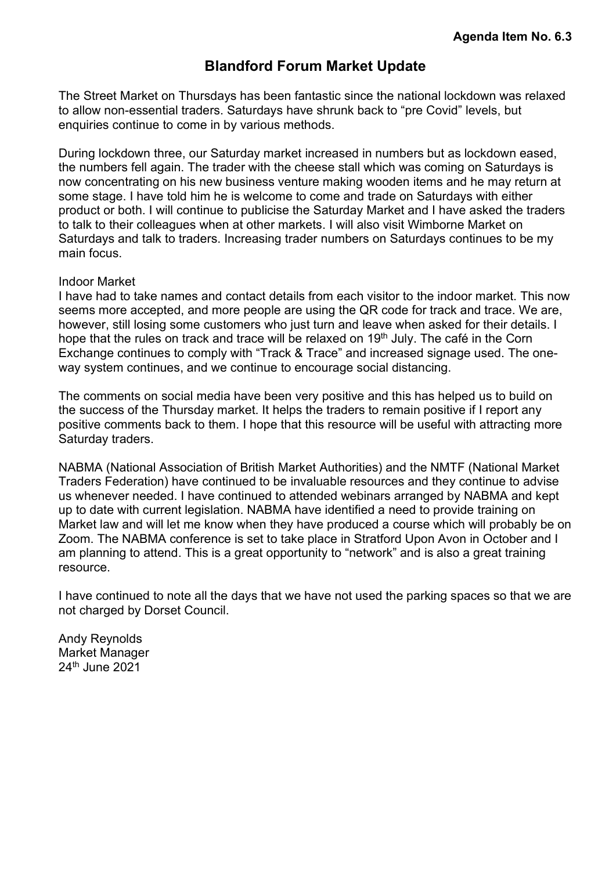# Blandford Forum Market Update

The Street Market on Thursdays has been fantastic since the national lockdown was relaxed to allow non-essential traders. Saturdays have shrunk back to "pre Covid" levels, but enquiries continue to come in by various methods.

During lockdown three, our Saturday market increased in numbers but as lockdown eased, the numbers fell again. The trader with the cheese stall which was coming on Saturdays is now concentrating on his new business venture making wooden items and he may return at some stage. I have told him he is welcome to come and trade on Saturdays with either product or both. I will continue to publicise the Saturday Market and I have asked the traders to talk to their colleagues when at other markets. I will also visit Wimborne Market on Saturdays and talk to traders. Increasing trader numbers on Saturdays continues to be my main focus.

#### Indoor Market

I have had to take names and contact details from each visitor to the indoor market. This now seems more accepted, and more people are using the QR code for track and trace. We are, however, still losing some customers who just turn and leave when asked for their details. I hope that the rules on track and trace will be relaxed on 19<sup>th</sup> July. The café in the Corn Exchange continues to comply with "Track & Trace" and increased signage used. The oneway system continues, and we continue to encourage social distancing.

The comments on social media have been very positive and this has helped us to build on the success of the Thursday market. It helps the traders to remain positive if I report any positive comments back to them. I hope that this resource will be useful with attracting more Saturday traders.

NABMA (National Association of British Market Authorities) and the NMTF (National Market Traders Federation) have continued to be invaluable resources and they continue to advise us whenever needed. I have continued to attended webinars arranged by NABMA and kept up to date with current legislation. NABMA have identified a need to provide training on Market law and will let me know when they have produced a course which will probably be on Zoom. The NABMA conference is set to take place in Stratford Upon Avon in October and I am planning to attend. This is a great opportunity to "network" and is also a great training resource.

I have continued to note all the days that we have not used the parking spaces so that we are not charged by Dorset Council.

Andy Reynolds Market Manager 24th June 2021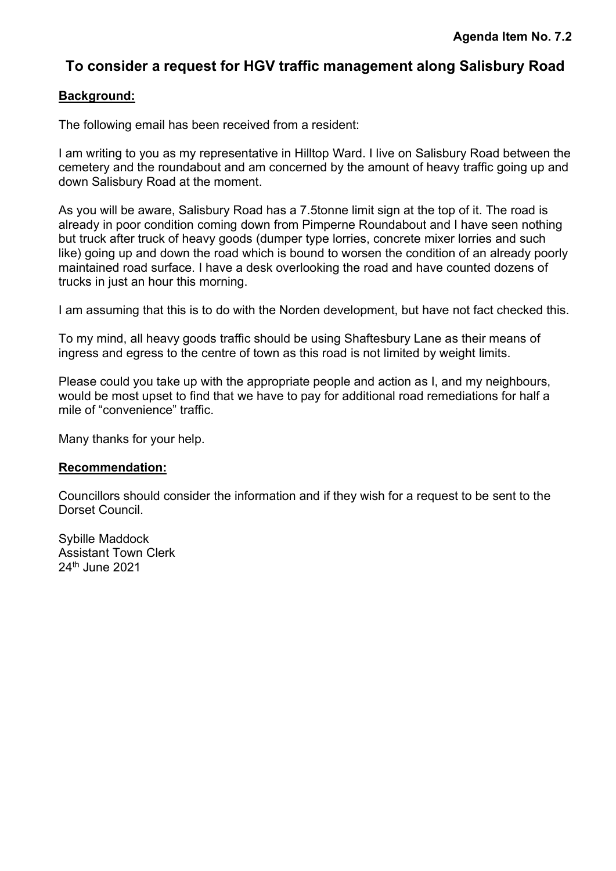# To consider a request for HGV traffic management along Salisbury Road

# Background:

The following email has been received from a resident:

I am writing to you as my representative in Hilltop Ward. I live on Salisbury Road between the cemetery and the roundabout and am concerned by the amount of heavy traffic going up and down Salisbury Road at the moment.

As you will be aware, Salisbury Road has a 7.5tonne limit sign at the top of it. The road is already in poor condition coming down from Pimperne Roundabout and I have seen nothing but truck after truck of heavy goods (dumper type lorries, concrete mixer lorries and such like) going up and down the road which is bound to worsen the condition of an already poorly maintained road surface. I have a desk overlooking the road and have counted dozens of trucks in just an hour this morning.

I am assuming that this is to do with the Norden development, but have not fact checked this.

To my mind, all heavy goods traffic should be using Shaftesbury Lane as their means of ingress and egress to the centre of town as this road is not limited by weight limits.

Please could you take up with the appropriate people and action as I, and my neighbours, would be most upset to find that we have to pay for additional road remediations for half a mile of "convenience" traffic.

Many thanks for your help.

## Recommendation:

Councillors should consider the information and if they wish for a request to be sent to the Dorset Council.

Sybille Maddock Assistant Town Clerk 24th June 2021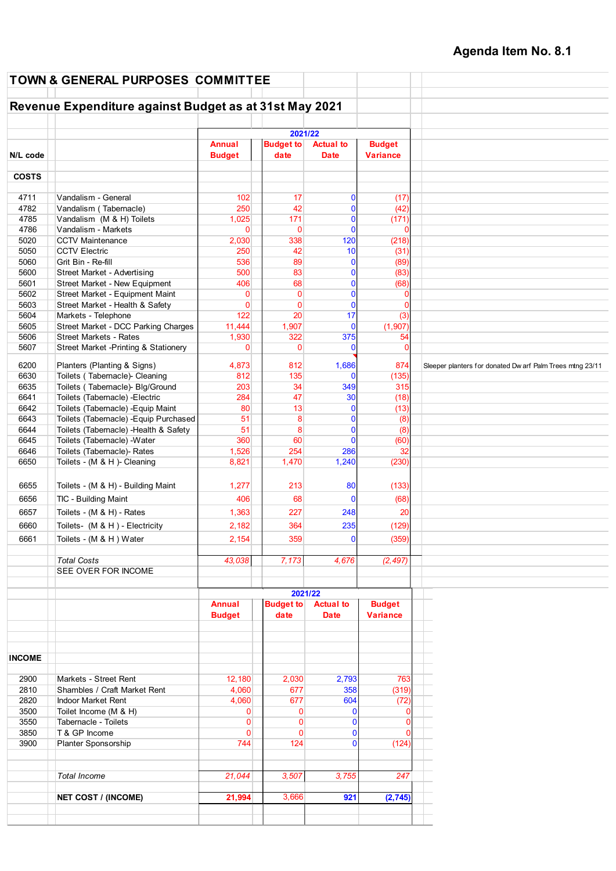|               | <b>TOWN &amp; GENERAL PURPOSES COMMITTEE</b>           |                                |                          |                                 |                                  |                                                           |
|---------------|--------------------------------------------------------|--------------------------------|--------------------------|---------------------------------|----------------------------------|-----------------------------------------------------------|
|               | Revenue Expenditure against Budget as at 31st May 2021 |                                |                          |                                 |                                  |                                                           |
|               |                                                        |                                |                          |                                 |                                  |                                                           |
|               |                                                        |                                | 2021/22                  |                                 |                                  |                                                           |
| N/L code      |                                                        | <b>Annual</b><br><b>Budget</b> | <b>Budget to</b><br>date | <b>Actual to</b><br><b>Date</b> | <b>Budget</b><br><b>Variance</b> |                                                           |
| <b>COSTS</b>  |                                                        |                                |                          |                                 |                                  |                                                           |
|               |                                                        |                                |                          |                                 |                                  |                                                           |
| 4711          | Vandalism - General                                    | 102                            | 17                       | 0                               | (17)                             |                                                           |
| 4782          | Vandalism (Tabernacle)                                 | 250                            | 42                       | $\mathbf{0}$                    | (42)                             |                                                           |
| 4785<br>4786  | Vandalism (M & H) Toilets<br>Vandalism - Markets       | 1,025<br>$\mathbf{0}$          | 171<br>$\mathbf{0}$      | 0<br>$\mathbf{0}$               | (171)<br>$\Omega$                |                                                           |
| 5020          | <b>CCTV Maintenance</b>                                | 2,030                          | 338                      | 120                             | (218)                            |                                                           |
| 5050          | <b>CCTV Electric</b>                                   | 250                            | 42                       | 10                              | (31)                             |                                                           |
| 5060          | Grit Bin - Re-fill                                     | 536                            | 89                       | 0                               | (89)                             |                                                           |
| 5600          | <b>Street Market - Advertising</b>                     | 500                            | 83                       | $\mathbf{0}$                    | (83)                             |                                                           |
| 5601          | Street Market - New Equipment                          | 406                            | 68                       | $\mathbf 0$                     | (68)                             |                                                           |
| 5602          | Street Market - Equipment Maint                        | $\mathbf 0$                    | $\mathbf{0}$             | $\mathbf{0}$                    | $\mathbf{0}$                     |                                                           |
| 5603          | Street Market - Health & Safety                        | $\mathbf{0}$                   | $\mathbf{0}$             | $\mathbf{0}$                    | $\Omega$                         |                                                           |
| 5604          | Markets - Telephone                                    | 122                            | 20                       | 17                              | (3)                              |                                                           |
| 5605          | Street Market - DCC Parking Charges                    | 11,444                         | 1,907                    | $\mathbf{0}$                    | (1,907)                          |                                                           |
| 5606          | <b>Street Markets - Rates</b>                          | 1,930                          | 322                      | 375                             | 54                               |                                                           |
| 5607          | Street Market -Printing & Stationery                   | $\mathbf 0$                    | $\mathbf{0}$             | $\mathbf 0$                     | $\mathbf 0$                      |                                                           |
| 6200          | Planters (Planting & Signs)                            | 4,873                          | 812                      | 1,686                           | 874                              | Sleeper planters for donated Dw arf Palm Trees mtng 23/11 |
| 6630          | Toilets (Tabernacle)- Cleaning                         | 812                            | 135                      | $\Omega$                        | (135)                            |                                                           |
| 6635          | Toilets (Tabernacle)- Blg/Ground                       | 203                            | 34                       | 349                             | 315                              |                                                           |
| 6641          | Toilets (Tabernacle) - Electric                        | 284                            | 47                       | 30                              | (18)                             |                                                           |
| 6642          | Toilets (Tabernacle) - Equip Maint                     | 80                             | 13                       | $\mathbf{0}$                    | (13)                             |                                                           |
| 6643          | Toilets (Tabernacle) - Equip Purchased                 | 51                             | 8                        | $\mathbf 0$                     | (8)                              |                                                           |
| 6644          | Toilets (Tabernacle) - Health & Safety                 | 51                             | 8                        | $\mathbf 0$                     | (8)                              |                                                           |
| 6645          | Toilets (Tabernacle) -Water                            | 360                            | 60                       | $\mathbf{0}$                    | (60)                             |                                                           |
| 6646<br>6650  | Toilets (Tabernacle)- Rates                            | 1,526                          | 254                      | 286<br>1,240                    | 32                               |                                                           |
|               | Toilets - (M & H )- Cleaning                           | 8,821                          | 1,470                    |                                 | (230)                            |                                                           |
| 6655          | Toilets - (M & H) - Building Maint                     | 1,277                          | 213                      | 80                              | (133)                            |                                                           |
|               |                                                        |                                |                          |                                 |                                  |                                                           |
| 6656          | TIC - Building Maint                                   | 406                            | 68                       | $\mathbf 0$                     | (68)                             |                                                           |
| 6657          | Toilets - (M & H) - Rates                              | 1,363                          | 227                      | 248                             | 20                               |                                                           |
| 6660          | Toilets- (M & H) - Electricity                         | 2,182                          | 364                      | 235                             | (129)                            |                                                           |
| 6661          | Toilets - (M & H) Water                                | 2,154                          | 359                      | $\Omega$                        | (359)                            |                                                           |
|               | <b>Total Costs</b>                                     | 43,038                         | 7,173                    | 4,676                           | (2, 497)                         |                                                           |
|               | SEE OVER FOR INCOME                                    |                                |                          |                                 |                                  |                                                           |
|               |                                                        |                                | 2021/22                  |                                 |                                  |                                                           |
|               |                                                        | <b>Annual</b>                  | <b>Budget to</b>         | <b>Actual to</b>                | <b>Budget</b>                    |                                                           |
|               |                                                        | <b>Budget</b>                  | date                     | <b>Date</b>                     | <b>Variance</b>                  |                                                           |
|               |                                                        |                                |                          |                                 |                                  |                                                           |
| <b>INCOME</b> |                                                        |                                |                          |                                 |                                  |                                                           |
| 2900          | Markets - Street Rent                                  | 12,180                         | 2,030                    | 2,793                           | 763                              |                                                           |
| 2810          | Shambles / Craft Market Rent                           | 4,060                          | 677                      | 358                             | (319)                            |                                                           |
| 2820          | Indoor Market Rent                                     | 4,060                          | 677                      | 604                             | (72)                             |                                                           |
| 3500          | Toilet Income (M & H)                                  | $\overline{0}$                 | $\overline{0}$           | $\mathbf{0}$                    | $\mathbf{0}$                     |                                                           |
| 3550          | Tabernacle - Toilets                                   | $\overline{0}$                 | $\overline{0}$           | $\mathbf 0$                     | $\mathbf{0}$                     |                                                           |
| 3850          | T & GP Income                                          | $\overline{0}$                 | $\overline{0}$           | $\mathbf 0$                     | 0                                |                                                           |
| 3900          | Planter Sponsorship                                    | 744                            | 124                      | $\mathbf{0}$                    | (124)                            |                                                           |
|               | <b>Total Income</b>                                    | 21,044                         | 3.507                    | 3,755                           | 247                              |                                                           |
|               | <b>NET COST / (INCOME)</b>                             | 21,994                         | 3,666                    | 921                             | (2, 745)                         |                                                           |
|               |                                                        |                                |                          |                                 |                                  |                                                           |
|               |                                                        |                                |                          |                                 |                                  |                                                           |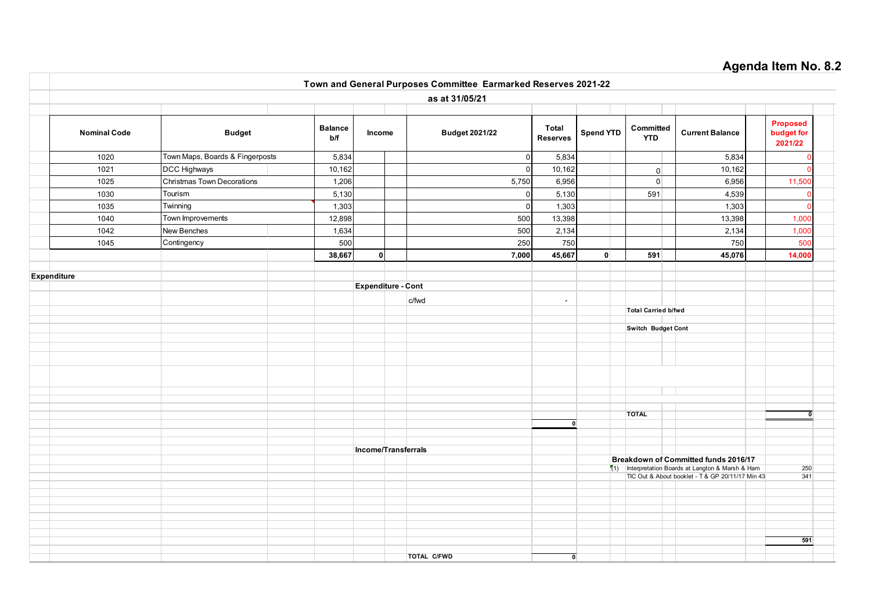#### Agenda Item No. 8.2 Nominal Code **Budget** Balance Income Budget 2021/22 Total Spend YTD  $\Big|\begin{array}{c}$  Committed  $\end{array}\Big|$  Current Balance Proposed budget for 2021/22 1020 |Town Maps, Boards & Fingerposts | 5,834| | | 0| 5,834| | 5,834| | 0 1021 DCC Highways 10,162 0 10,162 0 10,162 0 1025 |Christmas Town Decorations | 1,206| | | 5,750| 6,956| | 0 | 6,956| | 11,500 1030 |lourism | 5,130| | | 0| 5,130| | | 591| | 4,539| | 0 1035 |Twinning | 1,303| | | 0| 1,303| | | 1,303| | 0 1040 |lown improvements | 12,898| | | 500| 13,398| | | 13,398| | 1,000 1042 |New Benches | 1,634 | | 500 | 2,134 | 1,000 1045 |Contingency | 500| | | 250| 750| | 500 38,667 0 7,000 45,667 0 591 45,076 14,000 Expenditure Expenditure - Cont c/fwd - Total Carried b/fwd Switch Budget Cont TOTAL 0 0 Income/Transferrals Breakdown of Committed funds 2016/17  $(1)$  Interpretation Boards at Langton & Marsh & Ham 250 TIC Out & About booklet - T & GP 20/11/17 Min 43 341 591 TOTAL C/FWD 0 Christmas Town Decorations Tourism **Twinning** Town Improvements **Contingency** Town and General Purposes Committee Earmarked Reserves 2021-22 as at 31/05/21 Budget Income Spend YTD Committed YTD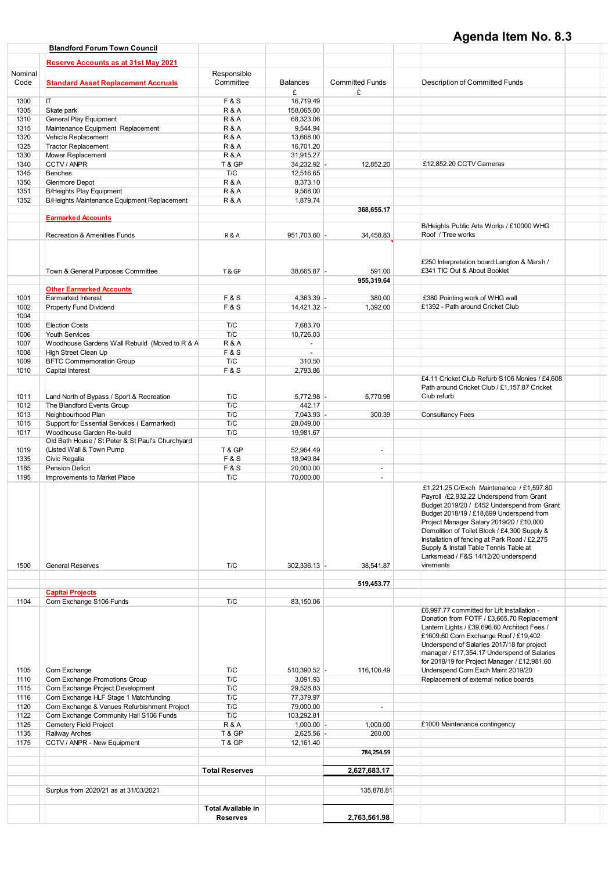# Agenda Item No. 8.3

|         | <b>Blandford Forum Town Council</b>                 |                                       |                 |                          |                                                                                                                                                                                                                                                                                                                                                                                                                            |  |
|---------|-----------------------------------------------------|---------------------------------------|-----------------|--------------------------|----------------------------------------------------------------------------------------------------------------------------------------------------------------------------------------------------------------------------------------------------------------------------------------------------------------------------------------------------------------------------------------------------------------------------|--|
|         | <b>Reserve Accounts as at 31st May 2021</b>         |                                       |                 |                          |                                                                                                                                                                                                                                                                                                                                                                                                                            |  |
|         |                                                     |                                       |                 |                          |                                                                                                                                                                                                                                                                                                                                                                                                                            |  |
| Nominal |                                                     | Responsible                           |                 |                          |                                                                                                                                                                                                                                                                                                                                                                                                                            |  |
| Code    | <b>Standard Asset Replacement Accruals</b>          | Committee                             | <b>Balances</b> | <b>Committed Funds</b>   | Description of Committed Funds                                                                                                                                                                                                                                                                                                                                                                                             |  |
|         |                                                     |                                       | £               | £                        |                                                                                                                                                                                                                                                                                                                                                                                                                            |  |
| 1300    | IT.                                                 | <b>F&amp;S</b>                        | 16,719.49       |                          |                                                                                                                                                                                                                                                                                                                                                                                                                            |  |
| 1305    | Skate park                                          | <b>R&amp;A</b>                        | 158,065.00      |                          |                                                                                                                                                                                                                                                                                                                                                                                                                            |  |
| 1310    | General Play Equipment                              | <b>R&amp;A</b>                        | 68,323.06       |                          |                                                                                                                                                                                                                                                                                                                                                                                                                            |  |
| 1315    | Maintenance Equipment Replacement                   | <b>R&amp;A</b>                        | 9,544.94        |                          |                                                                                                                                                                                                                                                                                                                                                                                                                            |  |
| 1320    | Vehicle Replacement                                 | <b>R&amp;A</b>                        | 13,668.00       |                          |                                                                                                                                                                                                                                                                                                                                                                                                                            |  |
| 1325    | <b>Tractor Replacement</b>                          | <b>R&amp;A</b>                        | 16,701.20       |                          |                                                                                                                                                                                                                                                                                                                                                                                                                            |  |
| 1330    | Mower Replacement                                   | <b>R&amp;A</b>                        | 31,915.27       |                          |                                                                                                                                                                                                                                                                                                                                                                                                                            |  |
| 1340    | CCTV / ANPR                                         | T&GP                                  | 34,232.92 -     | 12,852.20                | £12,852.20 CCTV Cameras                                                                                                                                                                                                                                                                                                                                                                                                    |  |
| 1345    | <b>Benches</b>                                      | T/C                                   | 12,516.65       |                          |                                                                                                                                                                                                                                                                                                                                                                                                                            |  |
| 1350    | Glenmore Depot                                      | <b>R&amp;A</b>                        | 8,373.10        |                          |                                                                                                                                                                                                                                                                                                                                                                                                                            |  |
| 1351    | <b>B/Heights Play Equipment</b>                     | <b>R&amp;A</b>                        | 9,568.00        |                          |                                                                                                                                                                                                                                                                                                                                                                                                                            |  |
| 1352    | B/Heights Maintenance Equipment Replacement         | <b>R&amp;A</b>                        | 1,879.74        |                          |                                                                                                                                                                                                                                                                                                                                                                                                                            |  |
|         |                                                     |                                       |                 | 368,655.17               |                                                                                                                                                                                                                                                                                                                                                                                                                            |  |
|         | <b>Earmarked Accounts</b>                           |                                       |                 |                          |                                                                                                                                                                                                                                                                                                                                                                                                                            |  |
|         |                                                     |                                       |                 |                          | B/Heights Public Arts Works / £10000 WHG                                                                                                                                                                                                                                                                                                                                                                                   |  |
|         | <b>Recreation &amp; Amenities Funds</b>             | <b>R&amp;A</b>                        | 951,703.60      | 34,458.83                | Roof / Tree works                                                                                                                                                                                                                                                                                                                                                                                                          |  |
|         |                                                     |                                       |                 |                          |                                                                                                                                                                                                                                                                                                                                                                                                                            |  |
|         | Town & General Purposes Committee                   | T & GP                                | 38,665.87 -     | 591.00                   | £250 Interpretation board: Langton & Marsh /<br>£341 TIC Out & About Booklet                                                                                                                                                                                                                                                                                                                                               |  |
|         |                                                     |                                       |                 | 955,319.64               |                                                                                                                                                                                                                                                                                                                                                                                                                            |  |
|         | <b>Other Earmarked Accounts</b>                     |                                       |                 |                          |                                                                                                                                                                                                                                                                                                                                                                                                                            |  |
| 1001    | <b>Earmarked Interest</b>                           | <b>F&amp;S</b>                        | 4,363.39 -      | 380.00                   | £380 Pointing work of WHG wall                                                                                                                                                                                                                                                                                                                                                                                             |  |
|         |                                                     |                                       |                 |                          | £1392 - Path around Cricket Club                                                                                                                                                                                                                                                                                                                                                                                           |  |
| 1002    | Property Fund Dividend                              | <b>F&amp;S</b>                        | 14,421.32 -     | 1,392.00                 |                                                                                                                                                                                                                                                                                                                                                                                                                            |  |
| 1004    |                                                     |                                       |                 |                          |                                                                                                                                                                                                                                                                                                                                                                                                                            |  |
| 1005    | <b>Election Costs</b>                               | T/C                                   | 7,683.70        |                          |                                                                                                                                                                                                                                                                                                                                                                                                                            |  |
| 1006    | Youth Services                                      | T/C                                   | 10.726.03       |                          |                                                                                                                                                                                                                                                                                                                                                                                                                            |  |
| 1007    | Woodhouse Gardens Wall Rebuild (Moved to R & A      | <b>R&amp;A</b>                        | $\sim$          |                          |                                                                                                                                                                                                                                                                                                                                                                                                                            |  |
| 1008    | High Street Clean Up                                | <b>F&amp;S</b>                        | $\omega$        |                          |                                                                                                                                                                                                                                                                                                                                                                                                                            |  |
| 1009    | <b>BFTC Commemoration Group</b>                     | T/C                                   | 310.50          |                          |                                                                                                                                                                                                                                                                                                                                                                                                                            |  |
| 1010    | Capital Interest                                    | <b>F&amp;S</b>                        | 2,793.86        |                          |                                                                                                                                                                                                                                                                                                                                                                                                                            |  |
| 1011    | Land North of Bypass / Sport & Recreation           | T/C                                   | 5,772.98        | 5,770.98                 | £4.11 Cricket Club Refurb S106 Monies / £4,608<br>Path around Cricket Club / £1,157.87 Cricket<br>Club refurb                                                                                                                                                                                                                                                                                                              |  |
| 1012    | The Blandford Events Group                          | T/C                                   | 442.17          |                          |                                                                                                                                                                                                                                                                                                                                                                                                                            |  |
| 1013    | Neighbourhood Plan                                  | T/C                                   | 7,043.93 -      | 300.39                   | <b>Consultancy Fees</b>                                                                                                                                                                                                                                                                                                                                                                                                    |  |
| 1015    | Support for Essential Services (Earmarked)          | T/C                                   | 28,049.00       |                          |                                                                                                                                                                                                                                                                                                                                                                                                                            |  |
| 1017    | Woodhouse Garden Re-build                           | T/C                                   | 19,981.67       |                          |                                                                                                                                                                                                                                                                                                                                                                                                                            |  |
|         | Old Bath House / St Peter & St Paul's Churchyard    |                                       |                 |                          |                                                                                                                                                                                                                                                                                                                                                                                                                            |  |
| 1019    | (Listed Wall & Town Pump                            | T & GP                                | 52,964.49       | $\overline{\phantom{a}}$ |                                                                                                                                                                                                                                                                                                                                                                                                                            |  |
| 1335    | Civic Regalia                                       | <b>F&amp;S</b>                        | 18,949.84       |                          |                                                                                                                                                                                                                                                                                                                                                                                                                            |  |
| 1185    | Pension Deficit                                     | <b>F&amp;S</b>                        | 20,000.00       | $\blacksquare$           |                                                                                                                                                                                                                                                                                                                                                                                                                            |  |
| 1195    | Improvements to Market Place                        | T/C                                   | 70,000.00       | $\blacksquare$           |                                                                                                                                                                                                                                                                                                                                                                                                                            |  |
| 1500    | <b>General Reserves</b>                             | T/C                                   | 302,336.13 -    | 38,541.87                | £1,221.25 C/Exch Maintenance / £1,597.80<br>Payroll /£2,932.22 Underspend from Grant<br>Budget 2019/20 / £452 Underspend from Grant<br>Budget 2018/19 / £18,699 Underspend from<br>Project Manager Salary 2019/20 / £10,000<br>Demolition of Toilet Block / £4,300 Supply &<br>Installation of fencing at Park Road / £2,275<br>Supply & Install Table Tennis Table at<br>Larksmead / F&S 14/12/20 underspend<br>virements |  |
|         |                                                     |                                       |                 | 519,453.77               |                                                                                                                                                                                                                                                                                                                                                                                                                            |  |
|         |                                                     |                                       |                 |                          |                                                                                                                                                                                                                                                                                                                                                                                                                            |  |
| 1104    | <b>Capital Projects</b><br>Corn Exchange S106 Funds | T/C                                   | 83,150.06       |                          |                                                                                                                                                                                                                                                                                                                                                                                                                            |  |
|         |                                                     |                                       |                 |                          | £6.997.77 committed for Lift Installation -<br>Donation from FOTF / £3,665.70 Replacement<br>Lantern Lights / £39,696.60 Architect Fees /<br>£1609.60 Corn Exchange Roof / £19,402<br>Underspend of Salaries 2017/18 for project<br>manager / £17,354.17 Underspend of Salaries<br>for 2018/19 for Project Manager / £12,981.60                                                                                            |  |
| 1105    | Corn Exchange                                       | T/C                                   | 510,390.52 -    | 116,106.49               | Underspend Corn Exch Maint 2019/20                                                                                                                                                                                                                                                                                                                                                                                         |  |
| 1110    | Corn Exchange Promotions Group                      | T/C                                   | 3,091.93        |                          | Replacement of external notice boards                                                                                                                                                                                                                                                                                                                                                                                      |  |
| 1115    | Corn Exchange Project Development                   | T/C                                   | 29,528.83       |                          |                                                                                                                                                                                                                                                                                                                                                                                                                            |  |
| 1116    | Corn Exchange HLF Stage 1 Matchfunding              | T/C                                   | 77,379.97       |                          |                                                                                                                                                                                                                                                                                                                                                                                                                            |  |
| 1120    | Corn Exchange & Venues Refurbishment Project        | T/C                                   | 79,000.00       | $\blacksquare$           |                                                                                                                                                                                                                                                                                                                                                                                                                            |  |
| 1122    | Corn Exchange Community Hall S106 Funds             | T/C                                   | 103,292.81      |                          |                                                                                                                                                                                                                                                                                                                                                                                                                            |  |
| 1125    | Cemetery Field Project                              | <b>R&amp;A</b>                        | $1,000.00$ -    | 1,000.00                 | £1000 Maintenance contingency                                                                                                                                                                                                                                                                                                                                                                                              |  |
| 1135    | Railway Arches                                      | T & GP                                | $2,625.56$ -    | 260.00                   |                                                                                                                                                                                                                                                                                                                                                                                                                            |  |
| 1175    | CCTV / ANPR - New Equipment                         | T & GP                                | 12,161.40       |                          |                                                                                                                                                                                                                                                                                                                                                                                                                            |  |
|         |                                                     |                                       |                 | 784,254.59               |                                                                                                                                                                                                                                                                                                                                                                                                                            |  |
|         |                                                     |                                       |                 |                          |                                                                                                                                                                                                                                                                                                                                                                                                                            |  |
|         |                                                     | <b>Total Reserves</b>                 |                 | 2,627,683.17             |                                                                                                                                                                                                                                                                                                                                                                                                                            |  |
|         |                                                     |                                       |                 |                          |                                                                                                                                                                                                                                                                                                                                                                                                                            |  |
|         |                                                     |                                       |                 |                          |                                                                                                                                                                                                                                                                                                                                                                                                                            |  |
|         | Surplus from 2020/21 as at 31/03/2021               |                                       |                 | 135,878.81               |                                                                                                                                                                                                                                                                                                                                                                                                                            |  |
|         |                                                     | Total Available in<br><b>Reserves</b> |                 | 2,763,561.98             |                                                                                                                                                                                                                                                                                                                                                                                                                            |  |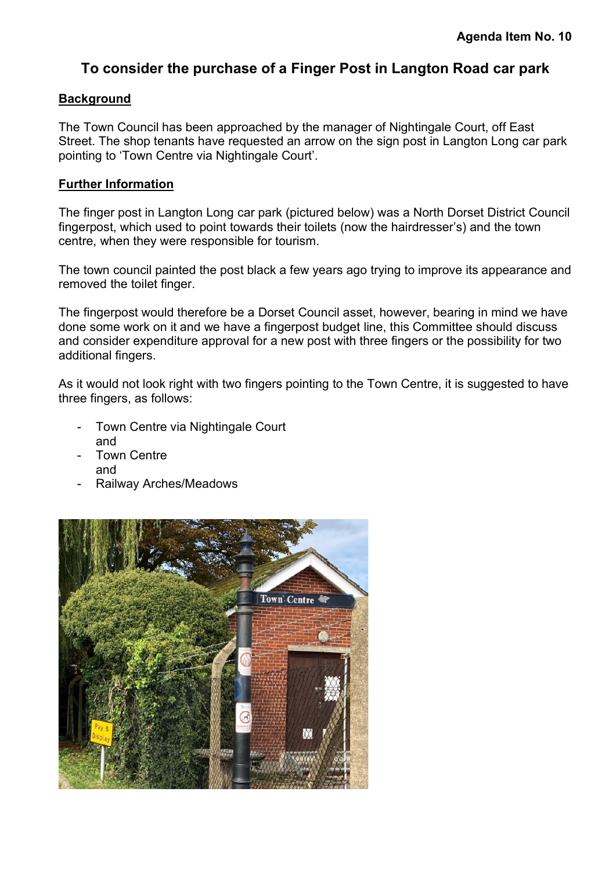# To consider the purchase of a Finger Post in Langton Road car park

## **Background**

The Town Council has been approached by the manager of Nightingale Court, off East Street. The shop tenants have requested an arrow on the sign post in Langton Long car park pointing to 'Town Centre via Nightingale Court'.

## Further Information

The finger post in Langton Long car park (pictured below) was a North Dorset District Council fingerpost, which used to point towards their toilets (now the hairdresser's) and the town centre, when they were responsible for tourism.

The town council painted the post black a few years ago trying to improve its appearance and removed the toilet finger.

The fingerpost would therefore be a Dorset Council asset, however, bearing in mind we have done some work on it and we have a fingerpost budget line, this Committee should discuss and consider expenditure approval for a new post with three fingers or the possibility for two additional fingers.

As it would not look right with two fingers pointing to the Town Centre, it is suggested to have three fingers, as follows:

- Town Centre via Nightingale Court and
- **Town Centre** and
- Railway Arches/Meadows

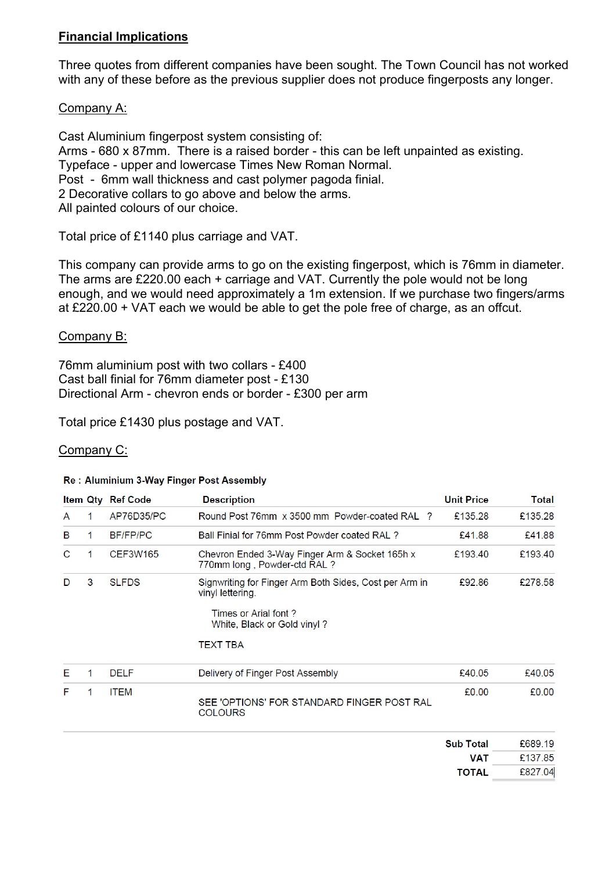# Financial Implications

Three quotes from different companies have been sought. The Town Council has not worked with any of these before as the previous supplier does not produce fingerposts any longer.

# Company A:

Cast Aluminium fingerpost system consisting of: Arms - 680 x 87mm. There is a raised border - this can be left unpainted as existing. Typeface - upper and lowercase Times New Roman Normal. Post - 6mm wall thickness and cast polymer pagoda finial. 2 Decorative collars to go above and below the arms. All painted colours of our choice.

Total price of £1140 plus carriage and VAT.

This company can provide arms to go on the existing fingerpost, which is 76mm in diameter. The arms are £220.00 each + carriage and VAT. Currently the pole would not be long enough, and we would need approximately a 1m extension. If we purchase two fingers/arms at £220.00 + VAT each we would be able to get the pole free of charge, as an offcut.

# Company B:

76mm aluminium post with two collars - £400 Cast ball finial for 76mm diameter post - £130 Directional Arm - chevron ends or border - £300 per arm

Total price £1430 plus postage and VAT.

# Company C:

#### Re: Aluminium 3-Way Finger Post Assembly

|              |   | <b>Item Qty Ref Code</b> | <b>Description</b>                                                                                                                | <b>Unit Price</b> | Total   |
|--------------|---|--------------------------|-----------------------------------------------------------------------------------------------------------------------------------|-------------------|---------|
| A            | 1 | AP76D35/PC               | Round Post 76mm x 3500 mm Powder-coated RAL<br>$\mathbf{P}$                                                                       | £135.28           | £135.28 |
| B            | 1 | <b>BF/FP/PC</b>          | Ball Finial for 76mm Post Powder coated RAL?                                                                                      | £41.88            | £41.88  |
| $\mathsf{C}$ | 1 | <b>CEF3W165</b>          | Chevron Ended 3-Way Finger Arm & Socket 165h x<br>770mm long, Powder-ctd RAL?                                                     | £193.40           | £193.40 |
| D            | 3 | <b>SLFDS</b>             | Signwriting for Finger Arm Both Sides, Cost per Arm in<br>vinyl lettering.<br>Times or Arial font?<br>White, Black or Gold vinyl? | £92.86            | £278.58 |
|              |   |                          | TEXT TBA                                                                                                                          |                   |         |
| Е            | 1 | <b>DELF</b>              | Delivery of Finger Post Assembly                                                                                                  | £40.05            | £40.05  |
| F            | 1 | <b>ITEM</b>              | SEE 'OPTIONS' FOR STANDARD FINGER POST RAL<br><b>COLOURS</b>                                                                      | £0.00             | £0.00   |
|              |   |                          |                                                                                                                                   | <b>Sub Total</b>  | £689.19 |
|              |   |                          |                                                                                                                                   | <b>MAT</b>        | C12705  |

 $£13/0.85$ VAI £827.04 **TOTAL**